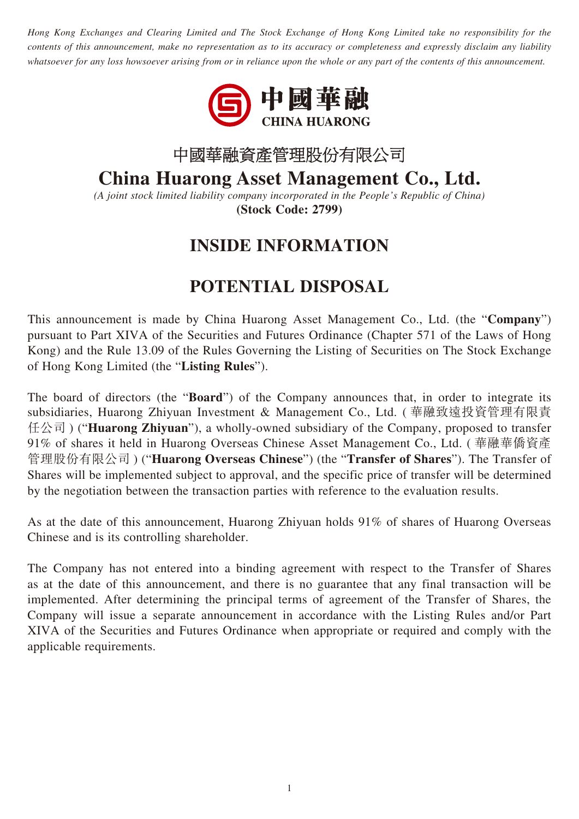*Hong Kong Exchanges and Clearing Limited and The Stock Exchange of Hong Kong Limited take no responsibility for the contents of this announcement, make no representation as to its accuracy or completeness and expressly disclaim any liability whatsoever for any loss howsoever arising from or in reliance upon the whole or any part of the contents of this announcement.*



## 中國華融資產管理股份有限公司

## **China Huarong Asset Management Co., Ltd.**

*(A joint stock limited liability company incorporated in the People's Republic of China)* **(Stock Code: 2799)**

## **INSIDE INFORMATION**

## **POTENTIAL DISPOSAL**

This announcement is made by China Huarong Asset Management Co., Ltd. (the "**Company**") pursuant to Part XIVA of the Securities and Futures Ordinance (Chapter 571 of the Laws of Hong Kong) and the Rule 13.09 of the Rules Governing the Listing of Securities on The Stock Exchange of Hong Kong Limited (the "**Listing Rules**").

The board of directors (the "**Board**") of the Company announces that, in order to integrate its subsidiaries, Huarong Zhiyuan Investment & Management Co., Ltd. ( 華融致遠投資管理有限責 任公司 ) ("**Huarong Zhiyuan**"), a wholly-owned subsidiary of the Company, proposed to transfer 91% of shares it held in Huarong Overseas Chinese Asset Management Co., Ltd. ( 華融華僑資產 管理股份有限公司 ) ("**Huarong Overseas Chinese**") (the "**Transfer of Shares**"). The Transfer of Shares will be implemented subject to approval, and the specific price of transfer will be determined by the negotiation between the transaction parties with reference to the evaluation results.

As at the date of this announcement, Huarong Zhiyuan holds 91% of shares of Huarong Overseas Chinese and is its controlling shareholder.

The Company has not entered into a binding agreement with respect to the Transfer of Shares as at the date of this announcement, and there is no guarantee that any final transaction will be implemented. After determining the principal terms of agreement of the Transfer of Shares, the Company will issue a separate announcement in accordance with the Listing Rules and/or Part XIVA of the Securities and Futures Ordinance when appropriate or required and comply with the applicable requirements.